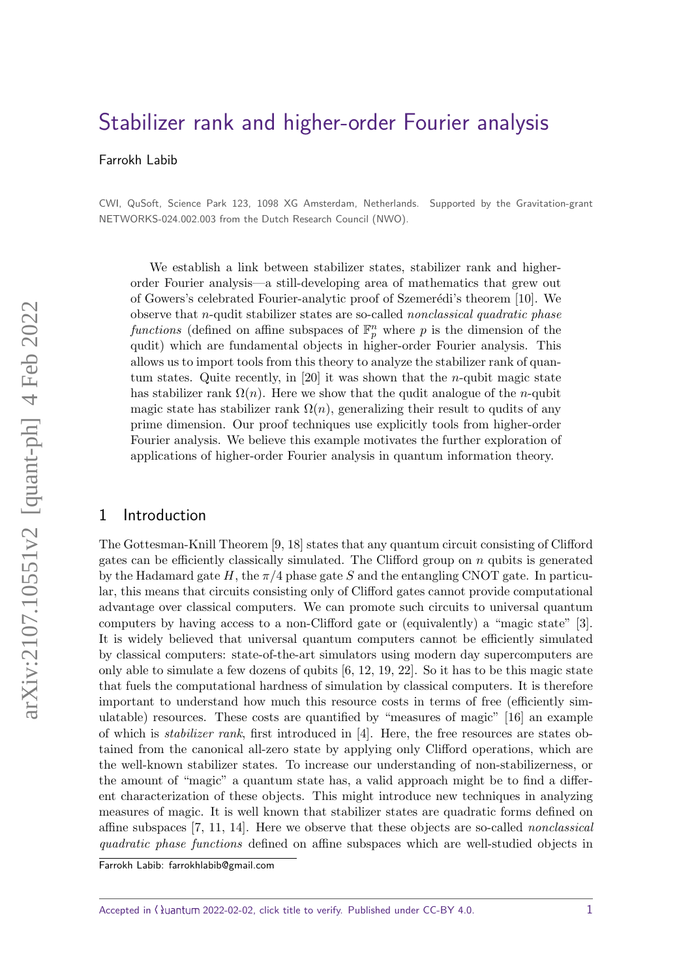# [Stabilizer rank and higher-order Fourier analysis](https://quantum-journal.org/?s=Stabilizer%20rank%20and%20higher-order%20Fourier%20analysis&reason=title-click)

Farrokh Labib

CWI, QuSoft, Science Park 123, 1098 XG Amsterdam, Netherlands. Supported by the Gravitation-grant NETWORKS-024.002.003 from the Dutch Research Council (NWO).

We establish a link between stabilizer states, stabilizer rank and higherorder Fourier analysis—a still-developing area of mathematics that grew out of Gowers's celebrated Fourier-analytic proof of Szemerédi's theorem [\[10\]](#page-14-0). We observe that *n*-qudit stabilizer states are so-called nonclassical quadratic phase functions (defined on affine subspaces of  $\mathbb{F}_p^n$  where p is the dimension of the qudit) which are fundamental objects in higher-order Fourier analysis. This allows us to import tools from this theory to analyze the stabilizer rank of quantum states. Quite recently, in [\[20\]](#page-15-0) it was shown that the *n*-qubit magic state has stabilizer rank  $\Omega(n)$ . Here we show that the qudit analogue of the *n*-qubit magic state has stabilizer rank  $\Omega(n)$ , generalizing their result to qudits of any prime dimension. Our proof techniques use explicitly tools from higher-order Fourier analysis. We believe this example motivates the further exploration of applications of higher-order Fourier analysis in quantum information theory.

#### 1 Introduction

The Gottesman-Knill Theorem [\[9,](#page-14-1) [18\]](#page-15-1) states that any quantum circuit consisting of Clifford gates can be efficiently classically simulated. The Clifford group on *n* qubits is generated by the Hadamard gate *H*, the *π/*4 phase gate *S* and the entangling CNOT gate. In particular, this means that circuits consisting only of Clifford gates cannot provide computational advantage over classical computers. We can promote such circuits to universal quantum computers by having access to a non-Clifford gate or (equivalently) a "magic state" [\[3\]](#page-14-2). It is widely believed that universal quantum computers cannot be efficiently simulated by classical computers: state-of-the-art simulators using modern day supercomputers are only able to simulate a few dozens of qubits  $[6, 12, 19, 22]$  $[6, 12, 19, 22]$  $[6, 12, 19, 22]$  $[6, 12, 19, 22]$ . So it has to be this magic state that fuels the computational hardness of simulation by classical computers. It is therefore important to understand how much this resource costs in terms of free (efficiently simulatable) resources. These costs are quantified by "measures of magic" [\[16\]](#page-14-5) an example of which is stabilizer rank, first introduced in [\[4\]](#page-14-6). Here, the free resources are states obtained from the canonical all-zero state by applying only Clifford operations, which are the well-known stabilizer states. To increase our understanding of non-stabilizerness, or the amount of "magic" a quantum state has, a valid approach might be to find a different characterization of these objects. This might introduce new techniques in analyzing measures of magic. It is well known that stabilizer states are quadratic forms defined on affine subspaces [\[7,](#page-14-7) [11,](#page-14-8) [14\]](#page-14-9). Here we observe that these objects are so-called nonclassical quadratic phase functions defined on affine subspaces which are well-studied objects in

Accepted in  $\langle \rangle$ uantum 2022-02-02, click title to verify. Published under CC-BY 4.0.  $1$ 

Farrokh Labib: [farrokhlabib@gmail.com](mailto:farrokhlabib@gmail.com)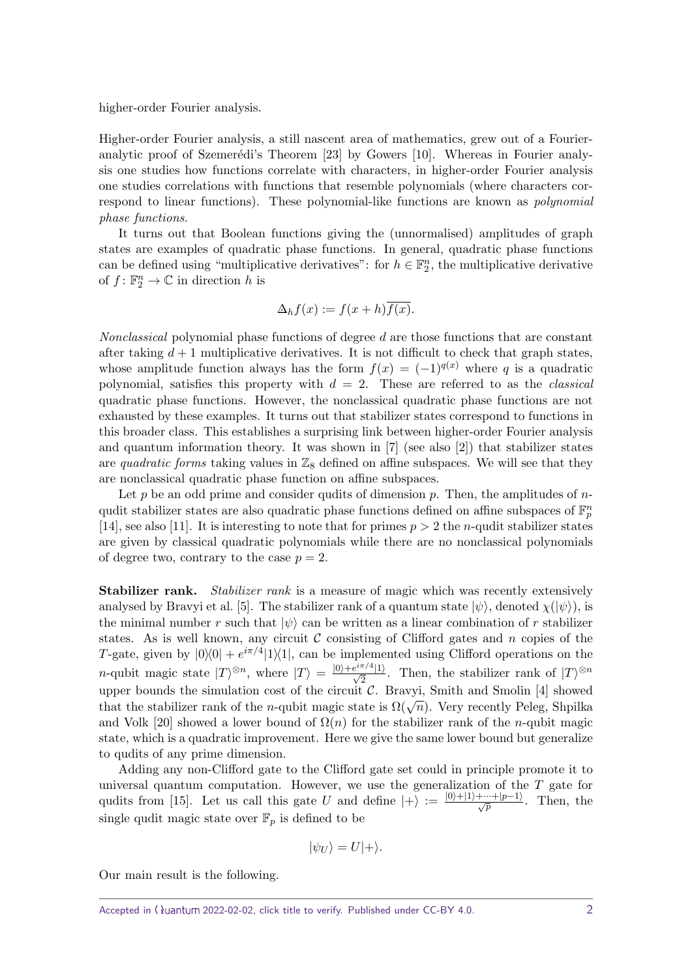higher-order Fourier analysis.

Higher-order Fourier analysis, a still nascent area of mathematics, grew out of a Fourieranalytic proof of Szemerédi's Theorem  $[23]$  by Gowers  $[10]$ . Whereas in Fourier analysis one studies how functions correlate with characters, in higher-order Fourier analysis one studies correlations with functions that resemble polynomials (where characters correspond to linear functions). These polynomial-like functions are known as polynomial phase functions.

It turns out that Boolean functions giving the (unnormalised) amplitudes of graph states are examples of quadratic phase functions. In general, quadratic phase functions can be defined using "multiplicative derivatives": for  $h \in \mathbb{F}_2^n$ , the multiplicative derivative of  $f: \mathbb{F}_2^n \to \mathbb{C}$  in direction *h* is

$$
\Delta_h f(x) := f(x+h)\overline{f(x)}.
$$

Nonclassical polynomial phase functions of degree *d* are those functions that are constant after taking  $d+1$  multiplicative derivatives. It is not difficult to check that graph states, whose amplitude function always has the form  $f(x) = (-1)^{q(x)}$  where q is a quadratic polynomial, satisfies this property with  $d = 2$ . These are referred to as the *classical* quadratic phase functions. However, the nonclassical quadratic phase functions are not exhausted by these examples. It turns out that stabilizer states correspond to functions in this broader class. This establishes a surprising link between higher-order Fourier analysis and quantum information theory. It was shown in [\[7\]](#page-14-7) (see also [\[2\]](#page-14-10)) that stabilizer states are quadratic forms taking values in  $\mathbb{Z}_8$  defined on affine subspaces. We will see that they are nonclassical quadratic phase function on affine subspaces.

Let *p* be an odd prime and consider qudits of dimension *p*. Then, the amplitudes of *n*qudit stabilizer states are also quadratic phase functions defined on affine subspaces of  $\mathbb{F}_p^n$ [\[14\]](#page-14-9), see also [\[11\]](#page-14-8). It is interesting to note that for primes  $p > 2$  the *n*-qudit stabilizer states are given by classical quadratic polynomials while there are no nonclassical polynomials of degree two, contrary to the case  $p = 2$ .

**Stabilizer rank.** Stabilizer rank is a measure of magic which was recently extensively analysed by Bravyi et al. [\[5\]](#page-14-11). The stabilizer rank of a quantum state  $|\psi\rangle$ , denoted  $\chi(|\psi\rangle)$ , is the minimal number *r* such that  $|\psi\rangle$  can be written as a linear combination of *r* stabilizer states. As is well known, any circuit  $\mathcal C$  consisting of Clifford gates and  $n$  copies of the *T*-gate, given by  $|0\rangle\langle 0| + e^{i\pi/4} |1\rangle\langle 1|$ , can be implemented using Clifford operations on the *n*-qubit magic state  $|T\rangle^{\otimes n}$ , where  $|T\rangle = \frac{|0\rangle + e^{i\pi/4}|1\rangle}{\sqrt{2}}$ . Then, the stabilizer rank of  $|T\rangle^{\otimes n}$ upper bounds the simulation cost of the circuit  $\mathcal{C}$ . Bravyi, Smith and Smolin [\[4\]](#page-14-6) showed that the stabilizer rank of the *n*-qubit magic state is  $\Omega(\sqrt{n})$ . Very recently Peleg, Shpilka and Volk [\[20\]](#page-15-0) showed a lower bound of  $\Omega(n)$  for the stabilizer rank of the *n*-qubit magic state, which is a quadratic improvement. Here we give the same lower bound but generalize to qudits of any prime dimension.

Adding any non-Clifford gate to the Clifford gate set could in principle promote it to universal quantum computation. However, we use the generalization of the *T* gate for qudits from [\[15\]](#page-14-12). Let us call this gate *U* and define  $|+\rangle := \frac{|0\rangle+|1\rangle+\cdots+|p-1\rangle}{\sqrt{p}}$ . Then, the single qudit magic state over  $\mathbb{F}_p$  is defined to be

$$
|\psi_U\rangle = U|+\rangle.
$$

<span id="page-1-0"></span>Our main result is the following.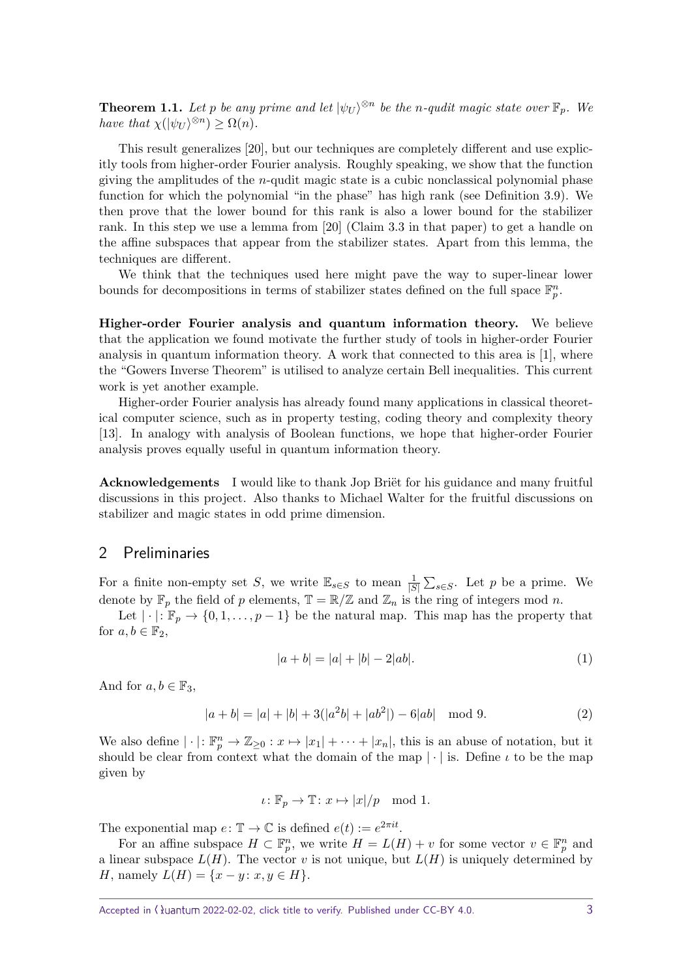**Theorem 1.1.** Let *p* be any prime and let  $|\psi_U\rangle^{\otimes n}$  be the *n*-qudit magic state over  $\mathbb{F}_p$ . We *have that*  $\chi(|\psi_U\rangle^{\otimes n}) \geq \Omega(n)$ *.* 

This result generalizes [\[20\]](#page-15-0), but our techniques are completely different and use explicitly tools from higher-order Fourier analysis. Roughly speaking, we show that the function giving the amplitudes of the *n*-qudit magic state is a cubic nonclassical polynomial phase function for which the polynomial "in the phase" has high rank (see Definition [3.9\)](#page-5-0). We then prove that the lower bound for this rank is also a lower bound for the stabilizer rank. In this step we use a lemma from [\[20\]](#page-15-0) (Claim 3.3 in that paper) to get a handle on the affine subspaces that appear from the stabilizer states. Apart from this lemma, the techniques are different.

We think that the techniques used here might pave the way to super-linear lower bounds for decompositions in terms of stabilizer states defined on the full space  $\mathbb{F}_p^n$ .

**Higher-order Fourier analysis and quantum information theory.** We believe that the application we found motivate the further study of tools in higher-order Fourier analysis in quantum information theory. A work that connected to this area is [\[1\]](#page-14-13), where the "Gowers Inverse Theorem" is utilised to analyze certain Bell inequalities. This current work is yet another example.

Higher-order Fourier analysis has already found many applications in classical theoretical computer science, such as in property testing, coding theory and complexity theory [\[13\]](#page-14-14). In analogy with analysis of Boolean functions, we hope that higher-order Fourier analysis proves equally useful in quantum information theory.

**Acknowledgements** I would like to thank Jop Briët for his guidance and many fruitful discussions in this project. Also thanks to Michael Walter for the fruitful discussions on stabilizer and magic states in odd prime dimension.

## 2 Preliminaries

For a finite non-empty set *S*, we write  $\mathbb{E}_{s \in S}$  to mean  $\frac{1}{|S|} \sum_{s \in S}$ . Let *p* be a prime. We denote by  $\mathbb{F}_p$  the field of *p* elements,  $\mathbb{T} = \mathbb{R}/\mathbb{Z}$  and  $\mathbb{Z}_n$  is the ring of integers mod *n*.

Let  $|\cdot|: \mathbb{F}_p \to \{0, 1, \ldots, p-1\}$  be the natural map. This map has the property that for  $a, b \in \mathbb{F}_2$ ,

<span id="page-2-1"></span><span id="page-2-0"></span>
$$
|a+b| = |a| + |b| - 2|ab|.
$$
 (1)

And for  $a, b \in \mathbb{F}_3$ ,

$$
|a+b| = |a| + |b| + 3(|a^2b| + |ab^2|) - 6|ab| \mod 9.
$$
 (2)

We also define  $|\cdot|: \mathbb{F}_p^n \to \mathbb{Z}_{\geq 0} : x \mapsto |x_1| + \cdots + |x_n|$ , this is an abuse of notation, but it should be clear from context what the domain of the map  $|\cdot|$  is. Define  $\iota$  to be the map given by

$$
\iota\colon \mathbb{F}_p\to \mathbb{T}\colon x\mapsto |x|/p\mod 1.
$$

The exponential map  $e: \mathbb{T} \to \mathbb{C}$  is defined  $e(t) := e^{2\pi i t}$ .

For an affine subspace  $H \subset \mathbb{F}_p^n$ , we write  $H = L(H) + v$  for some vector  $v \in \mathbb{F}_p^n$  and a linear subspace  $L(H)$ . The vector *v* is not unique, but  $L(H)$  is uniquely determined by *H*, namely  $L(H) = \{x - y : x, y \in H\}.$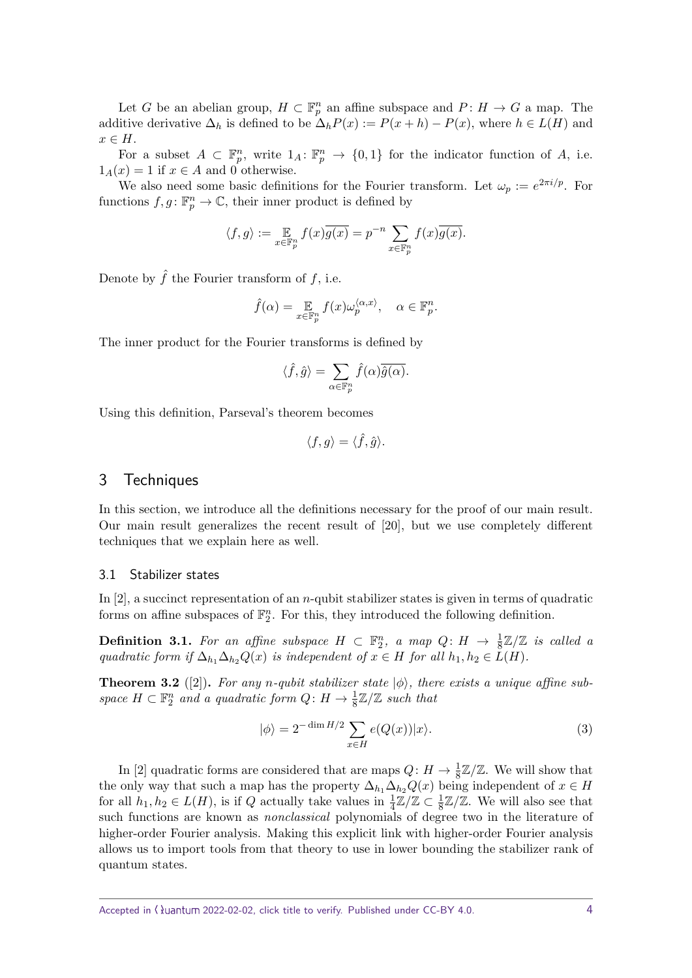Let *G* be an abelian group,  $H \subset \mathbb{F}_p^n$  an affine subspace and  $P: H \to G$  a map. The additive derivative  $\Delta_h$  is defined to be  $\Delta_h P(x) := P(x+h) - P(x)$ , where  $h \in L(H)$  and *x* ∈ *H*.

For a subset  $A \subset \mathbb{F}_p^n$ , write  $1_A: \mathbb{F}_p^n \to \{0,1\}$  for the indicator function of *A*, i.e.  $1_A(x) = 1$  if  $x \in A$  and 0 otherwise.

We also need some basic definitions for the Fourier transform. Let  $\omega_p := e^{2\pi i/p}$ . For functions  $f, g \colon \mathbb{F}_p^n \to \mathbb{C}$ , their inner product is defined by

$$
\langle f,g\rangle:=\mathop{\mathbb{E}}_{x\in\mathbb{F}_p^n}f(x)\overline{g(x)}=p^{-n}\sum_{x\in\mathbb{F}_p^n}f(x)\overline{g(x)}.
$$

Denote by  $\hat{f}$  the Fourier transform of  $f$ , i.e.

$$
\hat{f}(\alpha) = \mathop{\mathbb{E}}_{x \in \mathbb{F}_p^n} f(x) \omega_p^{\langle \alpha, x \rangle}, \quad \alpha \in \mathbb{F}_p^n.
$$

The inner product for the Fourier transforms is defined by

$$
\langle \hat{f}, \hat{g} \rangle = \sum_{\alpha \in \mathbb{F}_p^n} \hat{f}(\alpha) \overline{\hat{g}(\alpha)}.
$$

Using this definition, Parseval's theorem becomes

$$
\langle f,g\rangle=\langle \hat f,\hat g\rangle.
$$

#### 3 Techniques

In this section, we introduce all the definitions necessary for the proof of our main result. Our main result generalizes the recent result of [\[20\]](#page-15-0), but we use completely different techniques that we explain here as well.

#### 3.1 Stabilizer states

In [\[2\]](#page-14-10), a succinct representation of an *n*-qubit stabilizer states is given in terms of quadratic forms on affine subspaces of  $\mathbb{F}_2^n$ . For this, they introduced the following definition.

<span id="page-3-0"></span>**Definition 3.1.** For an affine subspace  $H \subset \mathbb{F}_2^n$ , a map  $Q: H \to \frac{1}{8}\mathbb{Z}/\mathbb{Z}$  is called a *quadratic form if*  $\Delta_{h_1} \Delta_{h_2} Q(x)$  *is independent of*  $x \in H$  *for all*  $h_1, h_2 \in L(H)$ *.* 

**Theorem 3.2** ([\[2\]](#page-14-10)). For any *n*-qubit stabilizer state  $|\phi\rangle$ , there exists a unique affine sub*space*  $H \subset \mathbb{F}_2^n$  *and a quadratic form*  $Q: H \to \frac{1}{8}\mathbb{Z}/\mathbb{Z}$  *such that* 

$$
|\phi\rangle = 2^{-\dim H/2} \sum_{x \in H} e(Q(x)) |x\rangle.
$$
 (3)

In [\[2\]](#page-14-10) quadratic forms are considered that are maps  $Q: H \to \frac{1}{8}\mathbb{Z}/\mathbb{Z}$ . We will show that the only way that such a map has the property  $\Delta_{h_1} \Delta_{h_2} Q(x)$  being independent of  $x \in H$ for all  $h_1, h_2 \in L(H)$ , is if *Q* actually take values in  $\frac{1}{4}\mathbb{Z}/\mathbb{Z} \subset \frac{1}{8}$  $\frac{1}{8}\mathbb{Z}/\mathbb{Z}$ . We will also see that such functions are known as nonclassical polynomials of degree two in the literature of higher-order Fourier analysis. Making this explicit link with higher-order Fourier analysis allows us to import tools from that theory to use in lower bounding the stabilizer rank of quantum states.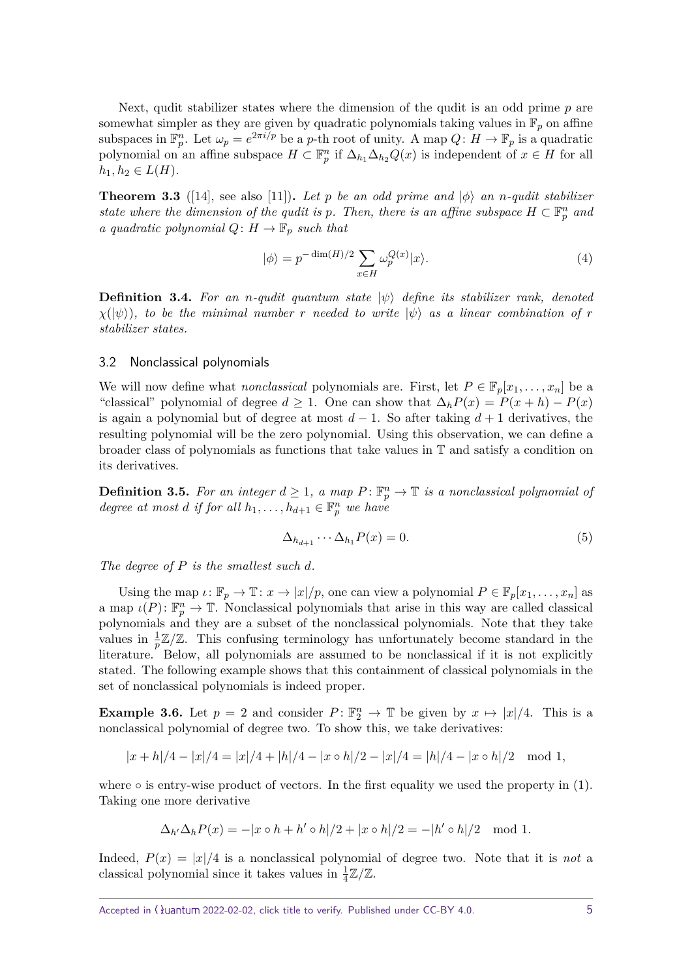Next, qudit stabilizer states where the dimension of the qudit is an odd prime *p* are somewhat simpler as they are given by quadratic polynomials taking values in  $\mathbb{F}_p$  on affine subspaces in  $\mathbb{F}_p^n$ . Let  $\omega_p = e^{2\pi i/p}$  be a *p*-th root of unity. A map  $Q: H \to \mathbb{F}_p$  is a quadratic polynomial on an affine subspace  $H \subset \mathbb{F}_p^n$  if  $\Delta_{h_1} \Delta_{h_2} Q(x)$  is independent of  $x \in H$  for all  $h_1, h_2 \in L(H)$ .

**Theorem 3.3** ([\[14\]](#page-14-9), see also [\[11\]](#page-14-8)). Let p be an odd prime and  $|\phi\rangle$  an *n*-qudit stabilizer *state where the dimension of the qudit is p. Then, there is an affine subspace*  $H \subset \mathbb{F}_p^n$  *and a quadratic polynomial*  $Q: H \to \mathbb{F}_p$  *such that* 

$$
|\phi\rangle = p^{-\dim(H)/2} \sum_{x \in H} \omega_p^{Q(x)} |x\rangle.
$$
 (4)

**Definition 3.4.** For an *n*-qudit quantum state  $|\psi\rangle$  define its stabilizer rank, denoted  $\chi(\ket{\psi})$ , to be the minimal number *r* needed to write  $|\psi\rangle$  as a linear combination of *r stabilizer states.*

#### 3.2 Nonclassical polynomials

We will now define what *nonclassical* polynomials are. First, let  $P \in \mathbb{F}_p[x_1, \ldots, x_n]$  be a "classical" polynomial of degree  $d \ge 1$ . One can show that  $\Delta_h P(x) = P(x+h) - P(x)$ is again a polynomial but of degree at most  $d-1$ . So after taking  $d+1$  derivatives, the resulting polynomial will be the zero polynomial. Using this observation, we can define a broader class of polynomials as functions that take values in T and satisfy a condition on its derivatives.

**Definition 3.5.** For an integer  $d \geq 1$ , a map  $P: \mathbb{F}_p^n \to \mathbb{T}$  is a nonclassical polynomial of *degree at most d if for all*  $h_1, \ldots, h_{d+1} \in \mathbb{F}_p^n$  *we have* 

$$
\Delta_{h_{d+1}} \cdots \Delta_{h_1} P(x) = 0. \tag{5}
$$

*The degree of P is the smallest such d.*

Using the map  $\iota: \mathbb{F}_p \to \mathbb{T}: x \to |x|/p$ , one can view a polynomial  $P \in \mathbb{F}_p[x_1, \ldots, x_n]$  as a map  $\iota(P) \colon \mathbb{F}_p^n \to \mathbb{T}$ . Nonclassical polynomials that arise in this way are called classical polynomials and they are a subset of the nonclassical polynomials. Note that they take values in  $\frac{1}{p}\mathbb{Z}/\mathbb{Z}$ . This confusing terminology has unfortunately become standard in the literature. Below, all polynomials are assumed to be nonclassical if it is not explicitly stated. The following example shows that this containment of classical polynomials in the set of nonclassical polynomials is indeed proper.

<span id="page-4-0"></span>**Example 3.6.** Let  $p = 2$  and consider  $P: \mathbb{F}_2^n \to \mathbb{T}$  be given by  $x \mapsto |x|/4$ . This is a nonclassical polynomial of degree two. To show this, we take derivatives:

$$
|x+h|/4 - |x|/4 = |x|/4 + |h|/4 - |x \circ h|/2 - |x|/4 = |h|/4 - |x \circ h|/2 \mod 1,
$$

where  $\circ$  is entry-wise product of vectors. In the first equality we used the property in [\(1\)](#page-2-0). Taking one more derivative

$$
\Delta_{h'}\Delta_h P(x) = -|x \circ h + h' \circ h|/2 + |x \circ h|/2 = -|h' \circ h|/2 \mod 1.
$$

Indeed,  $P(x) = |x|/4$  is a nonclassical polynomial of degree two. Note that it is *not* a classical polynomial since it takes values in  $\frac{1}{4}\mathbb{Z}/\mathbb{Z}$ .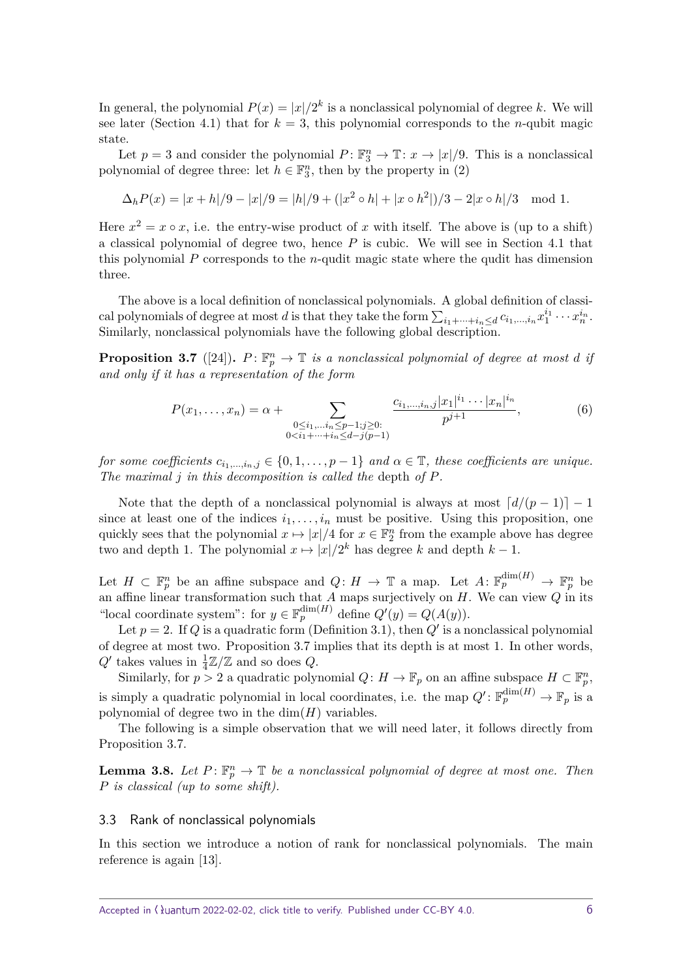In general, the polynomial  $P(x) = |x|/2^k$  is a nonclassical polynomial of degree k. We will see later (Section [4.1\)](#page-8-0) that for  $k = 3$ , this polynomial corresponds to the *n*-qubit magic state.

Let  $p = 3$  and consider the polynomial  $P: \mathbb{F}_3^n \to \mathbb{T}: x \to |x|/9$ . This is a nonclassical polynomial of degree three: let  $h \in \mathbb{F}_3^n$ , then by the property in [\(2\)](#page-2-1)

$$
\Delta_h P(x) = |x + h|/9 - |x|/9 = |h|/9 + (|x^2 \circ h| + |x \circ h^2|)/3 - 2|x \circ h|/3 \mod 1.
$$

Here  $x^2 = x \circ x$ , i.e. the entry-wise product of x with itself. The above is (up to a shift) a classical polynomial of degree two, hence *P* is cubic. We will see in Section [4.1](#page-8-0) that this polynomial *P* corresponds to the *n*-qudit magic state where the qudit has dimension three.

The above is a local definition of nonclassical polynomials. A global definition of classiread polynomials of degree at most *d* is that they take the form  $\sum_{i_1+\cdots+i_n\leq d} c_{i_1,\ldots,i_n} x_1^{i_1}\cdots x_n^{i_n}$ . Similarly, nonclassical polynomials have the following global description.

<span id="page-5-1"></span>**Proposition 3.7** ([\[24\]](#page-15-5)).  $P: \mathbb{F}_p^n \to \mathbb{T}$  *is a nonclassical polynomial of degree at most <i>d if and only if it has a representation of the form*

$$
P(x_1, \ldots, x_n) = \alpha + \sum_{\substack{0 \le i_1, \ldots, i_n \le p-1; j \ge 0:\\0 < i_1 + \cdots + i_n \le d - j(p-1)}} \frac{c_{i_1, \ldots, i_n, j} |x_1|^{i_1} \cdots |x_n|^{i_n}}{p^{j+1}},\tag{6}
$$

*for some coefficients*  $c_{i_1,\dots,i_n,j} \in \{0,1,\dots,p-1\}$  *and*  $\alpha \in \mathbb{T}$ , *these coefficients are unique. The maximal j in this decomposition is called the* depth *of P.*

Note that the depth of a nonclassical polynomial is always at most  $\lceil d/(p-1) \rceil - 1$ since at least one of the indices  $i_1, \ldots, i_n$  must be positive. Using this proposition, one quickly sees that the polynomial  $x \mapsto |x|/4$  for  $x \in \mathbb{F}_2^n$  from the example above has degree two and depth 1. The polynomial  $x \mapsto |x|/2^k$  has degree *k* and depth  $k-1$ .

Let  $H \subset \mathbb{F}_p^n$  be an affine subspace and  $Q: H \to \mathbb{T}$  a map. Let  $A: \mathbb{F}_p^{\dim(H)} \to \mathbb{F}_p^n$  be an affine linear transformation such that *A* maps surjectively on *H*. We can view *Q* in its "local coordinate system": for  $y \in \mathbb{F}_p^{\dim(H)}$  define  $Q'(y) = Q(A(y))$ .

Let  $p = 2$ . If *Q* is a quadratic form (Definition [3.1\)](#page-3-0), then *Q'* is a nonclassical polynomial of degree at most two. Proposition [3.7](#page-5-1) implies that its depth is at most 1. In other words,  $Q'$  takes values in  $\frac{1}{4}\mathbb{Z}/\mathbb{Z}$  and so does  $Q$ .

Similarly, for  $p > 2$  a quadratic polynomial  $Q: H \to \mathbb{F}_p$  on an affine subspace  $H \subset \mathbb{F}_p^n$ , is simply a quadratic polynomial in local coordinates, i.e. the map  $Q' : \mathbb{F}_p^{\dim(H)} \to \mathbb{F}_p$  is a polynomial of degree two in the  $\dim(H)$  variables.

The following is a simple observation that we will need later, it follows directly from Proposition [3.7.](#page-5-1)

<span id="page-5-2"></span>**Lemma 3.8.** Let  $P: \mathbb{F}_p^n \to \mathbb{T}$  be a nonclassical polynomial of degree at most one. Then *P is classical (up to some shift).*

#### 3.3 Rank of nonclassical polynomials

<span id="page-5-0"></span>In this section we introduce a notion of rank for nonclassical polynomials. The main reference is again [\[13\]](#page-14-14).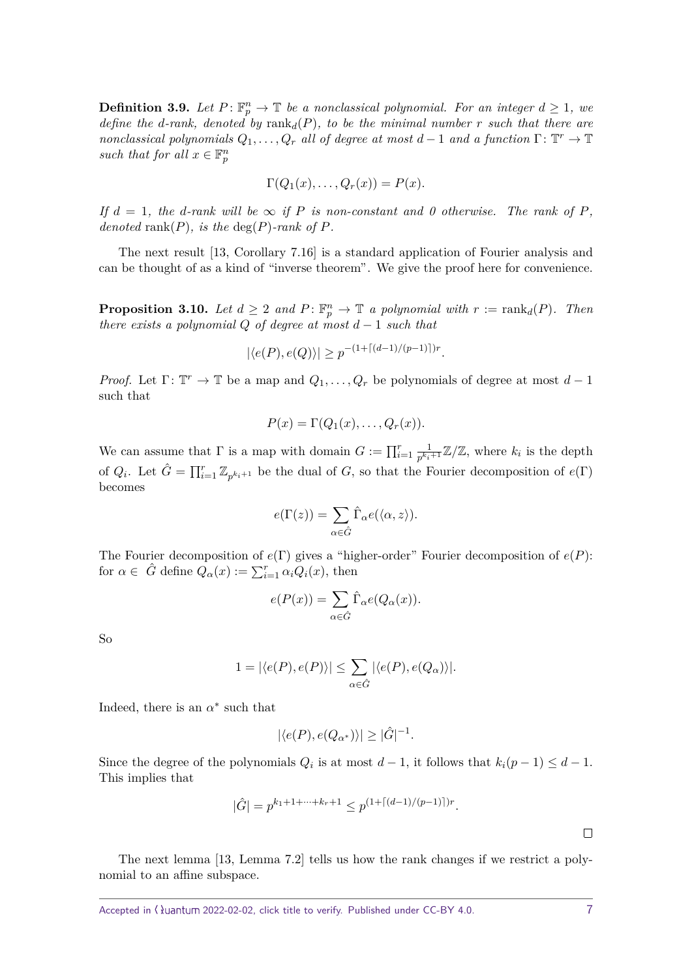**Definition 3.9.** Let  $P: \mathbb{F}_p^n \to \mathbb{T}$  be a nonclassical polynomial. For an integer  $d \geq 1$ , we *define the d-rank, denoted by*  $\text{rank}_d(P)$ *, to be the minimal number r such that there are nonclassical polynomials*  $Q_1, \ldots, Q_r$  *all of degree at most*  $d-1$  *and a function*  $\Gamma: \mathbb{T}^r \to \mathbb{T}$ *such that for all*  $x \in \mathbb{F}_p^n$ 

$$
\Gamma(Q_1(x),\ldots,Q_r(x))=P(x).
$$

*If*  $d = 1$ *, the d*-rank will be  $\infty$  *if P is non-constant and 0 otherwise. The rank of P, denoted* rank $(P)$ *, is the* deg $(P)$ *-rank of*  $P$ *.* 

The next result [\[13,](#page-14-14) Corollary 7.16] is a standard application of Fourier analysis and can be thought of as a kind of "inverse theorem". We give the proof here for convenience.

<span id="page-6-0"></span>**Proposition 3.10.** *Let*  $d \geq 2$  *and*  $P: \mathbb{F}_p^n \to \mathbb{T}$  *a polynomial with*  $r := \text{rank}_d(P)$ *. Then there exists a polynomial*  $Q$  *of degree at most*  $d-1$  *such that* 

$$
|\langle e(P), e(Q) \rangle| \geq p^{-(1+\lceil (d-1)/(p-1) \rceil)r}.
$$

*Proof.* Let  $\Gamma: \mathbb{T}^r \to \mathbb{T}$  be a map and  $Q_1, \ldots, Q_r$  be polynomials of degree at most  $d-1$ such that

$$
P(x) = \Gamma(Q_1(x), \ldots, Q_r(x)).
$$

We can assume that  $\Gamma$  is a map with domain  $G := \prod_{i=1}^r \frac{1}{p^{k_i}}$  $\frac{1}{p^{k_i+1}}\mathbb{Z}/\mathbb{Z}$ , where  $k_i$  is the depth of  $Q_i$ . Let  $\hat{G} = \prod_{i=1}^r \mathbb{Z}_{p^{k_i+1}}$  be the dual of *G*, so that the Fourier decomposition of  $e(\Gamma)$ becomes

$$
e(\Gamma(z)) = \sum_{\alpha \in \hat{G}} \hat{\Gamma}_{\alpha} e(\langle \alpha, z \rangle).
$$

The Fourier decomposition of *e*(Γ) gives a "higher-order" Fourier decomposition of *e*(*P*): for  $\alpha \in \hat{G}$  define  $Q_{\alpha}(x) := \sum_{i=1}^{r} \alpha_i Q_i(x)$ , then

$$
e(P(x)) = \sum_{\alpha \in \hat{G}} \hat{\Gamma}_{\alpha} e(Q_{\alpha}(x)).
$$

So

$$
1 = |\langle e(P), e(P) \rangle| \le \sum_{\alpha \in \hat{G}} |\langle e(P), e(Q_{\alpha}) \rangle|.
$$

Indeed, there is an  $\alpha^*$  such that

$$
|\langle e(P), e(Q_{\alpha^*})\rangle| \ge |\hat{G}|^{-1}.
$$

Since the degree of the polynomials  $Q_i$  is at most  $d-1$ , it follows that  $k_i(p-1) \leq d-1$ . This implies that

$$
|\hat{G}| = p^{k_1 + 1 + \dots + k_r + 1} \leq p^{(1 + \lceil (d-1)/(p-1) \rceil)r}.
$$

 $\Box$ 

The next lemma [\[13,](#page-14-14) Lemma 7.2] tells us how the rank changes if we restrict a polynomial to an affine subspace.

<span id="page-6-1"></span>Accepted in  $\lambda$ uantum 2022-02-02, click title to verify. Published under CC-BY 4.0.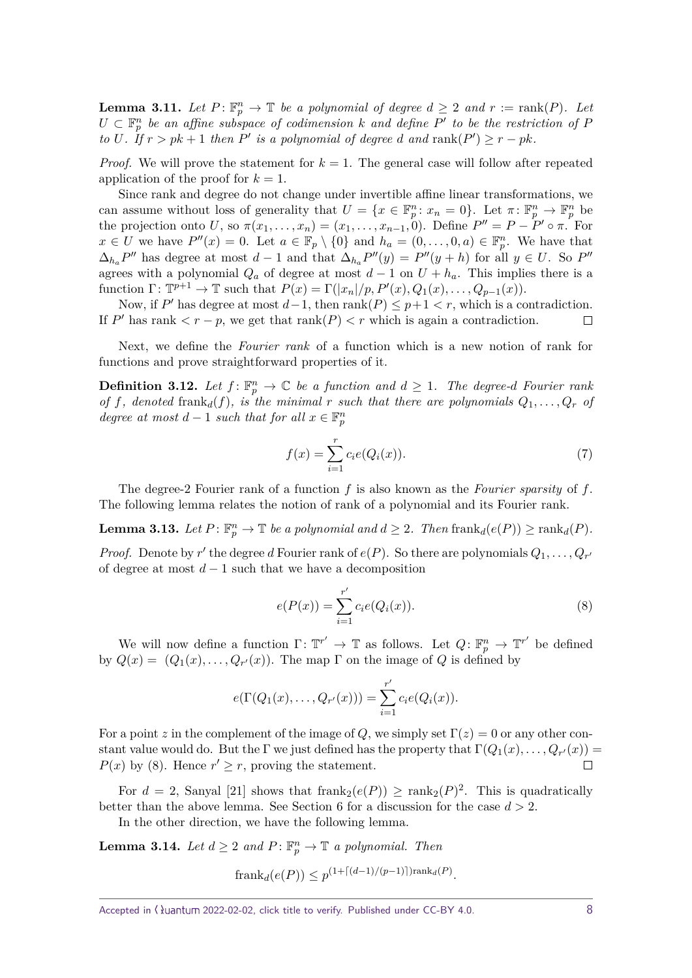**Lemma 3.11.** Let  $P: \mathbb{F}_p^n \to \mathbb{T}$  be a polynomial of degree  $d \geq 2$  and  $r := \text{rank}(P)$ . Let  $U \subset \mathbb{F}_p^n$  be an affine subspace of codimension *k* and define  $P'$  to be the restriction of *P to U.* If  $r > pk + 1$  *then*  $P'$  *is a polynomial of degree d and*  $rank(P') \geq r - pk$ *.* 

*Proof.* We will prove the statement for  $k = 1$ . The general case will follow after repeated application of the proof for  $k = 1$ .

Since rank and degree do not change under invertible affine linear transformations, we can assume without loss of generality that  $U = \{x \in \mathbb{F}_p^n : x_n = 0\}$ . Let  $\pi \colon \mathbb{F}_p^n \to \mathbb{F}_p^n$  be the projection onto *U*, so  $\pi(x_1, \ldots, x_n) = (x_1, \ldots, x_{n-1}, 0)$ . Define  $P'' = P - P' \circ \pi$ . For *x* ∈ *U* we have  $P''(x) = 0$ . Let  $a \in \mathbb{F}_p \setminus \{0\}$  and  $h_a = (0, \ldots, 0, a) \in \mathbb{F}_p^n$ . We have that  $\Delta_{h_a} P''$  has degree at most *d* − 1 and that  $\Delta_{h_a} P''(y) = P''(y + h)$  for all  $y \in U$ . So  $P''$ agrees with a polynomial  $Q_a$  of degree at most  $d-1$  on  $U + h_a$ . This implies there is a function  $\Gamma: \mathbb{T}^{p+1} \to \mathbb{T}$  such that  $P(x) = \Gamma(|x_n|/p, P'(x), Q_1(x), \ldots, Q_{p-1}(x)).$ 

Now, if  $P'$  has degree at most  $d-1$ , then  $rank(P) \leq p+1 < r$ , which is a contradiction. If  $P'$  has rank  $\langle r - p$ , we get that rank $(P) \langle r \rangle$  which is again a contradiction.  $\Box$ 

Next, we define the *Fourier rank* of a function which is a new notion of rank for functions and prove straightforward properties of it.

<span id="page-7-2"></span>**Definition 3.12.** Let  $f: \mathbb{F}_p^n \to \mathbb{C}$  be a function and  $d \geq 1$ . The degree-*d* Fourier rank *of f*, denoted frank<sub>*d*</sub>(*f*), *is the minimal r such that there are polynomials*  $Q_1, \ldots, Q_r$  *of degree at most*  $d-1$  *such that for all*  $x \in \mathbb{F}_p^n$ 

$$
f(x) = \sum_{i=1}^{r} c_i e(Q_i(x)).
$$
 (7)

The degree-2 Fourier rank of a function *f* is also known as the Fourier sparsity of *f*. The following lemma relates the notion of rank of a polynomial and its Fourier rank.

<span id="page-7-1"></span>**Lemma 3.13.** Let  $P: \mathbb{F}_p^n \to \mathbb{T}$  be a polynomial and  $d \geq 2$ . Then  $\text{frank}_d(e(P)) \geq \text{rank}_d(P)$ .

*Proof.* Denote by  $r'$  the degree *d* Fourier rank of  $e(P)$ . So there are polynomials  $Q_1, \ldots, Q_{r'}$ of degree at most  $d-1$  such that we have a decomposition

<span id="page-7-0"></span>
$$
e(P(x)) = \sum_{i=1}^{r'} c_i e(Q_i(x)).
$$
\n(8)

We will now define a function  $\Gamma: \mathbb{T}^{r'} \to \mathbb{T}$  as follows. Let  $Q: \mathbb{F}_p^n \to \mathbb{T}^{r'}$  be defined by  $Q(x) = (Q_1(x), \ldots, Q_{r'}(x))$ . The map  $\Gamma$  on the image of  $Q$  is defined by

$$
e(\Gamma(Q_1(x),...,Q_{r'}(x)))=\sum_{i=1}^{r'}c_ie(Q_i(x)).
$$

For a point *z* in the complement of the image of *Q*, we simply set  $\Gamma(z) = 0$  or any other constant value would do. But the  $\Gamma$  we just defined has the property that  $\Gamma(Q_1(x),\ldots,Q_{r'}(x))=$  $P(x)$  by [\(8\)](#page-7-0). Hence  $r' \geq r$ , proving the statement.  $\Box$ 

For  $d = 2$ , Sanyal [\[21\]](#page-15-6) shows that frank<sub>2</sub> $(e(P)) \ge \text{rank}_2(P)^2$ . This is quadratically better than the above lemma. See Section [6](#page-12-0) for a discussion for the case *d >* 2.

In the other direction, we have the following lemma.

**Lemma 3.14.** *Let*  $d \geq 2$  *and*  $P: \mathbb{F}_p^n \to \mathbb{T}$  *a polynomial. Then* 

$$
frank_d(e(P)) \le p^{(1+\lceil (d-1)/(p-1) \rceil) \operatorname{rank}_d(P)}.
$$

Accepted in  $\langle \rangle$ uantum 2022-02-02, click title to verify. Published under CC-BY 4.0. 8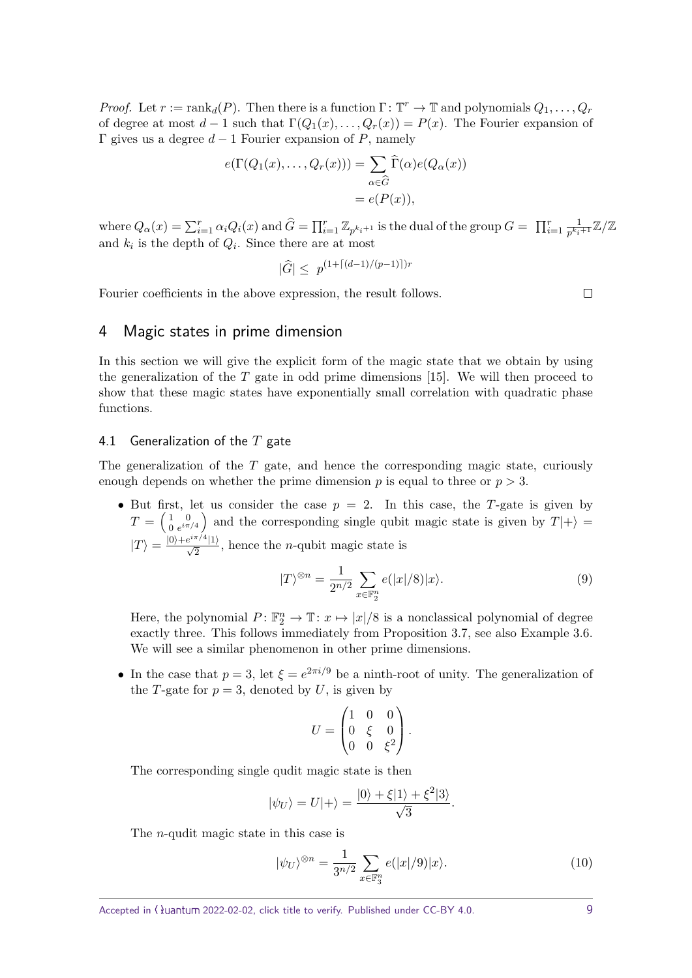*Proof.* Let  $r := \text{rank}_d(P)$ . Then there is a function  $\Gamma: \mathbb{T}^r \to \mathbb{T}$  and polynomials  $Q_1, \ldots, Q_r$ of degree at most  $d-1$  such that  $\Gamma(Q_1(x), \ldots, Q_r(x)) = P(x)$ . The Fourier expansion of Γ gives us a degree *d* − 1 Fourier expansion of *P*, namely

$$
e(\Gamma(Q_1(x),...,Q_r(x))) = \sum_{\alpha \in \widehat{G}} \widehat{\Gamma}(\alpha) e(Q_\alpha(x))
$$
  
=  $e(P(x)),$ 

where  $Q_{\alpha}(x) = \sum_{i=1}^{r} \alpha_i Q_i(x)$  and  $\widehat{G} = \prod_{i=1}^{r} \mathbb{Z}_{p^{k_i+1}}$  is the dual of the group  $G = \prod_{i=1}^{r} \frac{1}{p^{k_i}}$  $\frac{1}{p^{k_i+1}}\mathbb{Z}/\mathbb{Z}$ and  $k_i$  is the depth of  $Q_i$ . Since there are at most

$$
|\hat{G}| \le p^{(1 + \lceil (d-1)/(p-1) \rceil)r}
$$

Fourier coefficients in the above expression, the result follows.

 $\Box$ 

### 4 Magic states in prime dimension

In this section we will give the explicit form of the magic state that we obtain by using the generalization of the *T* gate in odd prime dimensions [\[15\]](#page-14-12). We will then proceed to show that these magic states have exponentially small correlation with quadratic phase functions.

### <span id="page-8-0"></span>4.1 Generalization of the *T* gate

The generalization of the *T* gate, and hence the corresponding magic state, curiously enough depends on whether the prime dimension p is equal to three or  $p > 3$ .

• But first, let us consider the case  $p = 2$ . In this case, the *T*-gate is given by  $T = \left(\begin{smallmatrix} 1 & 0 \\ 0 & e^{i\pi} \end{smallmatrix}\right)$  $\begin{pmatrix} 1 & 0 \\ 0 & e^{i\pi/4} \end{pmatrix}$  and the corresponding single qubit magic state is given by  $T|+\rangle =$  $|T\rangle = \frac{|0\rangle + e^{i\pi/4}|1\rangle}{\sqrt{2}}$ , hence the *n*-qubit magic state is

<span id="page-8-1"></span>
$$
|T\rangle^{\otimes n} = \frac{1}{2^{n/2}} \sum_{x \in \mathbb{F}_2^n} e(|x|/8)|x\rangle.
$$
 (9)

Here, the polynomial  $P: \mathbb{F}_2^n \to \mathbb{T}: x \mapsto |x|/8$  is a nonclassical polynomial of degree exactly three. This follows immediately from Proposition [3.7,](#page-5-1) see also Example [3.6.](#page-4-0) We will see a similar phenomenon in other prime dimensions.

• In the case that  $p = 3$ , let  $\xi = e^{2\pi i/9}$  be a ninth-root of unity. The generalization of the *T*-gate for  $p = 3$ , denoted by *U*, is given by

$$
U = \begin{pmatrix} 1 & 0 & 0 \\ 0 & \xi & 0 \\ 0 & 0 & \xi^2 \end{pmatrix}.
$$

The corresponding single qudit magic state is then

$$
|\psi_U\rangle = U|+\rangle = \frac{|0\rangle + \xi|1\rangle + \xi^2|3\rangle}{\sqrt{3}}.
$$

The *n*-qudit magic state in this case is

<span id="page-8-2"></span>
$$
|\psi_U\rangle^{\otimes n} = \frac{1}{3^{n/2}} \sum_{x \in \mathbb{F}_3^n} e(|x|/9)|x\rangle.
$$
 (10)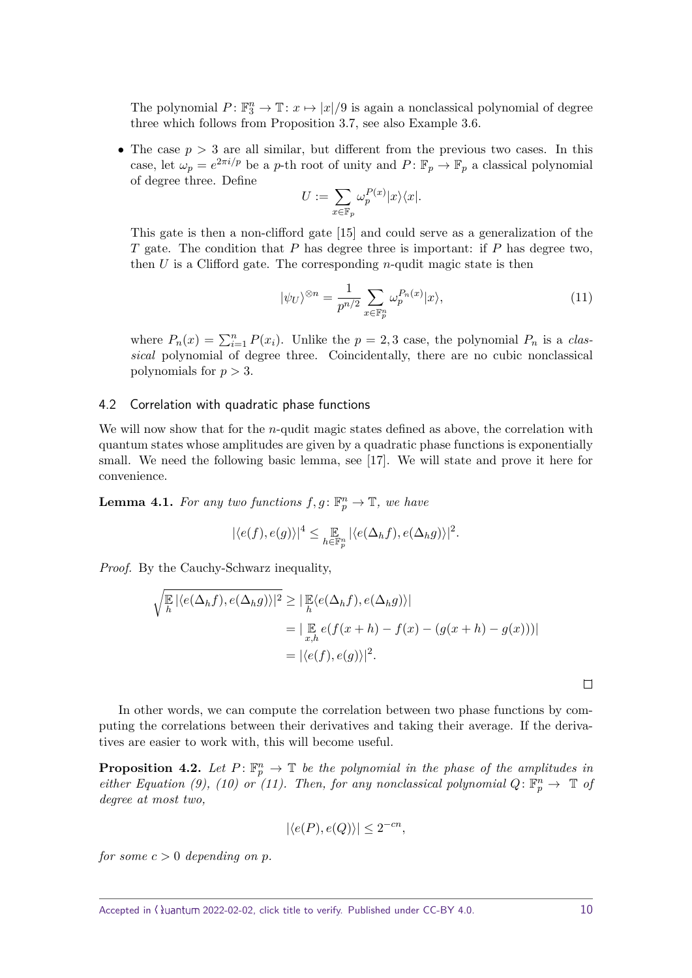The polynomial  $P: \mathbb{F}_3^n \to \mathbb{T}: x \mapsto |x|/9$  is again a nonclassical polynomial of degree three which follows from Proposition [3.7,](#page-5-1) see also Example [3.6.](#page-4-0)

• The case  $p > 3$  are all similar, but different from the previous two cases. In this case, let  $\omega_p = e^{2\pi i/p}$  be a *p*-th root of unity and  $P: \mathbb{F}_p \to \mathbb{F}_p$  a classical polynomial of degree three. Define

$$
U:=\sum_{x\in \mathbb{F}_p}\omega_p^{P(x)}|x\rangle\langle x|.
$$

This gate is then a non-clifford gate [\[15\]](#page-14-12) and could serve as a generalization of the *T* gate. The condition that *P* has degree three is important: if *P* has degree two, then *U* is a Clifford gate. The corresponding *n*-qudit magic state is then

<span id="page-9-0"></span>
$$
|\psi_U\rangle^{\otimes n} = \frac{1}{p^{n/2}} \sum_{x \in \mathbb{F}_p^n} \omega_p^{P_n(x)} |x\rangle,\tag{11}
$$

where  $P_n(x) = \sum_{i=1}^n P(x_i)$ . Unlike the  $p = 2, 3$  case, the polynomial  $P_n$  is a classical polynomial of degree three. Coincidentally, there are no cubic nonclassical polynomials for *p >* 3.

#### 4.2 Correlation with quadratic phase functions

We will now show that for the *n*-qudit magic states defined as above, the correlation with quantum states whose amplitudes are given by a quadratic phase functions is exponentially small. We need the following basic lemma, see [\[17\]](#page-14-15). We will state and prove it here for convenience.

<span id="page-9-1"></span>**Lemma 4.1.** For any two functions  $f, g: \mathbb{F}_p^n \to \mathbb{T}$ , we have

$$
|\langle e(f), e(g)\rangle|^4 \leq \mathop{\mathbb{E}}_{h \in \mathbb{F}_p^n} |\langle e(\Delta_h f), e(\Delta_h g)\rangle|^2.
$$

*Proof.* By the Cauchy-Schwarz inequality,

$$
\sqrt{\frac{\mathbb{E}}{h} |\langle e(\Delta_h f), e(\Delta_h g) \rangle|^2} \ge |\mathbb{E}_{h} \langle e(\Delta_h f), e(\Delta_h g) \rangle|
$$
  
=  $|\mathbb{E}_{x,h} e(f(x+h) - f(x) - (g(x+h) - g(x)))|$   
=  $|\langle e(f), e(g) \rangle|^2$ .

In other words, we can compute the correlation between two phase functions by computing the correlations between their derivatives and taking their average. If the derivatives are easier to work with, this will become useful.

<span id="page-9-2"></span>**Proposition 4.2.** Let  $P: \mathbb{F}_p^n \to \mathbb{T}$  be the polynomial in the phase of the amplitudes in *either Equation [\(9\)](#page-8-1), [\(10\)](#page-8-2) or*  $(11)$ *. Then, for any nonclassical polynomial*  $Q: \mathbb{F}_p^n \to \mathbb{T}$  *of degree at most two,*

$$
|\langle e(P), e(Q) \rangle| \le 2^{-cn},
$$

*for some*  $c > 0$  *depending on p.* 

 $\Box$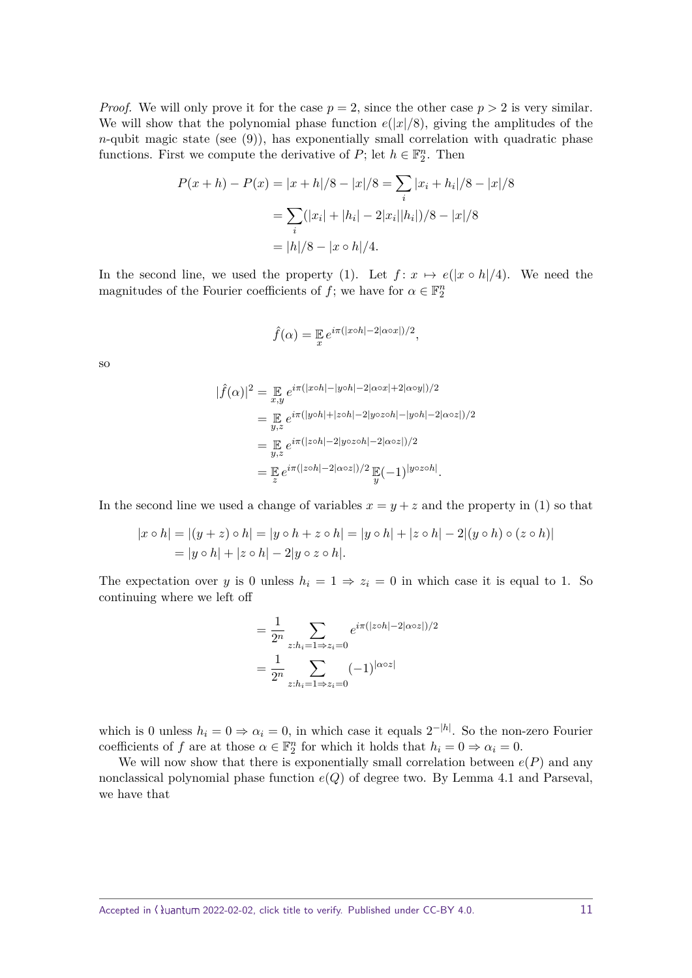*Proof.* We will only prove it for the case  $p = 2$ , since the other case  $p > 2$  is very similar. We will show that the polynomial phase function  $e(|x|/8)$ , giving the amplitudes of the  $n$ -qubit magic state (see  $(9)$ ), has exponentially small correlation with quadratic phase functions. First we compute the derivative of  $P$ ; let  $h \in \mathbb{F}_2^n$ . Then

$$
P(x+h) - P(x) = |x+h|/8 - |x|/8 = \sum_{i} |x_i + h_i|/8 - |x|/8
$$

$$
= \sum_{i} (|x_i| + |h_i| - 2|x_i||h_i|)/8 - |x|/8
$$

$$
= |h|/8 - |x \circ h|/4.
$$

In the second line, we used the property [\(1\)](#page-2-0). Let  $f: x \mapsto e(|x \circ h|/4)$ . We need the magnitudes of the Fourier coefficients of  $f$ ; we have for  $\alpha \in \mathbb{F}_2^n$ 

$$
\hat{f}(\alpha) = \mathbb{E}_{x} e^{i\pi(|x \circ h| - 2|\alpha \circ x|)/2},
$$

so

$$
|\hat{f}(\alpha)|^2 = \mathbb{E}_{x,y} e^{i\pi(|x \circ h| - |y \circ h| - 2|\alpha \circ x| + 2|\alpha \circ y|)/2}
$$
  
\n
$$
= \mathbb{E}_{y,z} e^{i\pi(|y \circ h| + |z \circ h| - 2|y \circ z \circ h| - |y \circ h| - 2|\alpha \circ z|)/2}
$$
  
\n
$$
= \mathbb{E}_{y,z} e^{i\pi(|z \circ h| - 2|y \circ z \circ h| - 2|\alpha \circ z|)/2}
$$
  
\n
$$
= \mathbb{E}_{z} e^{i\pi(|z \circ h| - 2|\alpha \circ z|)/2} \mathbb{E}_{y}(-1)^{|y \circ z \circ h|}.
$$

In the second line we used a change of variables  $x = y + z$  and the property in [\(1\)](#page-2-0) so that

$$
|x \circ h| = |(y + z) \circ h| = |y \circ h + z \circ h| = |y \circ h| + |z \circ h| - 2|(y \circ h) \circ (z \circ h)|
$$
  
=  $|y \circ h| + |z \circ h| - 2|y \circ z \circ h|$ .

The expectation over *y* is 0 unless  $h_i = 1 \Rightarrow z_i = 0$  in which case it is equal to 1. So continuing where we left off

$$
= \frac{1}{2^n} \sum_{z:h_i=1\Rightarrow z_i=0} e^{i\pi(|z \circ h|-2|\alpha \circ z|)/2}
$$

$$
= \frac{1}{2^n} \sum_{z:h_i=1\Rightarrow z_i=0} (-1)^{|\alpha \circ z|}
$$

which is 0 unless  $h_i = 0 \Rightarrow \alpha_i = 0$ , in which case it equals  $2^{-|h|}$ . So the non-zero Fourier coefficients of *f* are at those  $\alpha \in \mathbb{F}_2^n$  for which it holds that  $h_i = 0 \Rightarrow \alpha_i = 0$ .

We will now show that there is exponentially small correlation between  $e(P)$  and any nonclassical polynomial phase function *e*(*Q*) of degree two. By Lemma [4.1](#page-9-1) and Parseval, we have that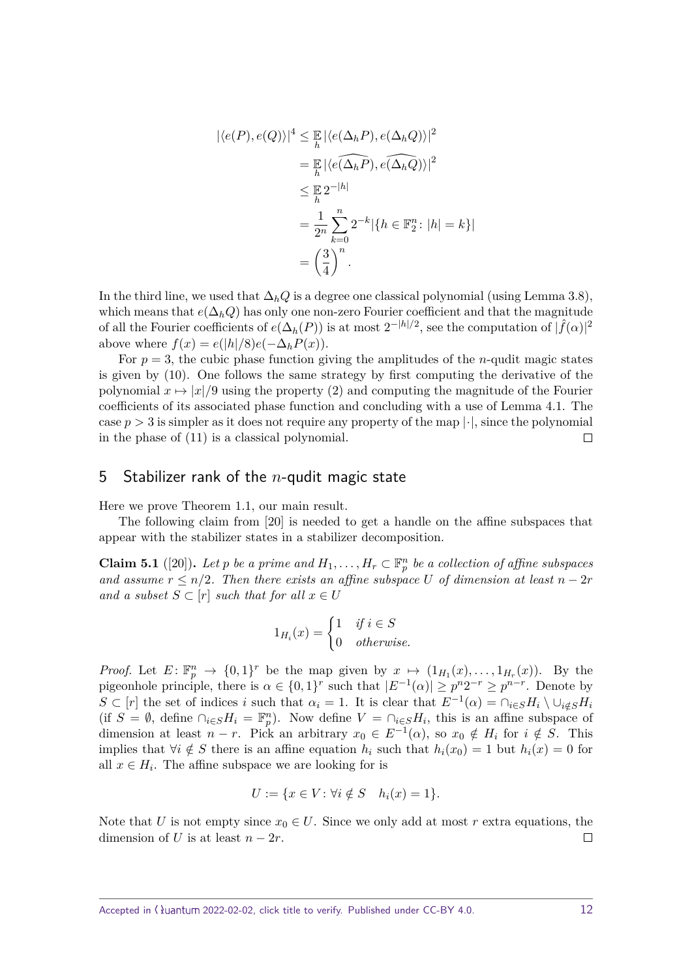$$
\begin{aligned} |\langle e(P), e(Q) \rangle|^4 &\leq \mathbb{E} |\langle e(\Delta_h P), e(\Delta_h Q) \rangle|^2 \\ &= \mathbb{E} |\langle e(\widehat{\Delta_h P}), e(\widehat{\Delta_h Q}) \rangle|^2 \\ &\leq \mathbb{E} 2^{-|h|} \\ &= \frac{1}{2^n} \sum_{k=0}^n 2^{-k} |\{h \in \mathbb{F}_2^n : |h| = k\}| \\ &= \left(\frac{3}{4}\right)^n. \end{aligned}
$$

In the third line, we used that ∆*hQ* is a degree one classical polynomial (using Lemma [3.8\)](#page-5-2), which means that  $e(\Delta_h Q)$  has only one non-zero Fourier coefficient and that the magnitude of all the Fourier coefficients of  $e(\Delta_h(P))$  is at most  $2^{-|h|/2}$ , see the computation of  $|\hat{f}(\alpha)|^2$ above where  $f(x) = e(|h|/8)e(-\Delta_h P(x)).$ 

For  $p = 3$ , the cubic phase function giving the amplitudes of the *n*-qudit magic states is given by [\(10\)](#page-8-2). One follows the same strategy by first computing the derivative of the polynomial  $x \mapsto |x|/9$  using the property [\(2\)](#page-2-1) and computing the magnitude of the Fourier coefficients of its associated phase function and concluding with a use of Lemma [4.1.](#page-9-1) The case  $p > 3$  is simpler as it does not require any property of the map  $|\cdot|$ , since the polynomial in the phase of [\(11\)](#page-9-0) is a classical polynomial.  $\Box$ 

## 5 Stabilizer rank of the *n*-qudit magic state

Here we prove Theorem [1.1,](#page-1-0) our main result.

The following claim from [\[20\]](#page-15-0) is needed to get a handle on the affine subspaces that appear with the stabilizer states in a stabilizer decomposition.

<span id="page-11-0"></span>**Claim 5.1** ([\[20\]](#page-15-0)). Let *p* be a prime and  $H_1, \ldots, H_r \subset \mathbb{F}_p^n$  be a collection of affine subspaces *and assume*  $r \leq n/2$ *. Then there exists an affine subspace U of dimension at least*  $n - 2r$ *and a subset*  $S \subset [r]$  *such that for all*  $x \in U$ 

$$
1_{H_i}(x) = \begin{cases} 1 & \text{if } i \in S \\ 0 & \text{otherwise.} \end{cases}
$$

*Proof.* Let  $E: \mathbb{F}_p^n \to \{0,1\}^r$  be the map given by  $x \mapsto (1_{H_1}(x), \ldots, 1_{H_r}(x))$ . By the pigeonhole principle, there is  $\alpha \in \{0,1\}^r$  such that  $|E^{-1}(\alpha)| \geq p^n 2^{-r} \geq p^{n-r}$ . Denote by  $S \subset [r]$  the set of indices *i* such that  $\alpha_i = 1$ . It is clear that  $E^{-1}(\alpha) = \bigcap_{i \in S} H_i \setminus \bigcup_{i \notin S} H_i$ (if  $S = \emptyset$ , define  $\cap_{i \in S} H_i = \mathbb{F}_p^n$ ). Now define  $V = \cap_{i \in S} H_i$ , this is an affine subspace of dimension at least  $n - r$ . Pick an arbitrary  $x_0 \in E^{-1}(\alpha)$ , so  $x_0 \notin H_i$  for  $i \notin S$ . This implies that  $\forall i \notin S$  there is an affine equation  $h_i$  such that  $h_i(x_0) = 1$  but  $h_i(x) = 0$  for all  $x \in H_i$ . The affine subspace we are looking for is

$$
U := \{ x \in V : \forall i \notin S \quad h_i(x) = 1 \}.
$$

Note that *U* is not empty since  $x_0 \in U$ . Since we only add at most *r* extra equations, the dimension of *U* is at least  $n - 2r$ .  $\Box$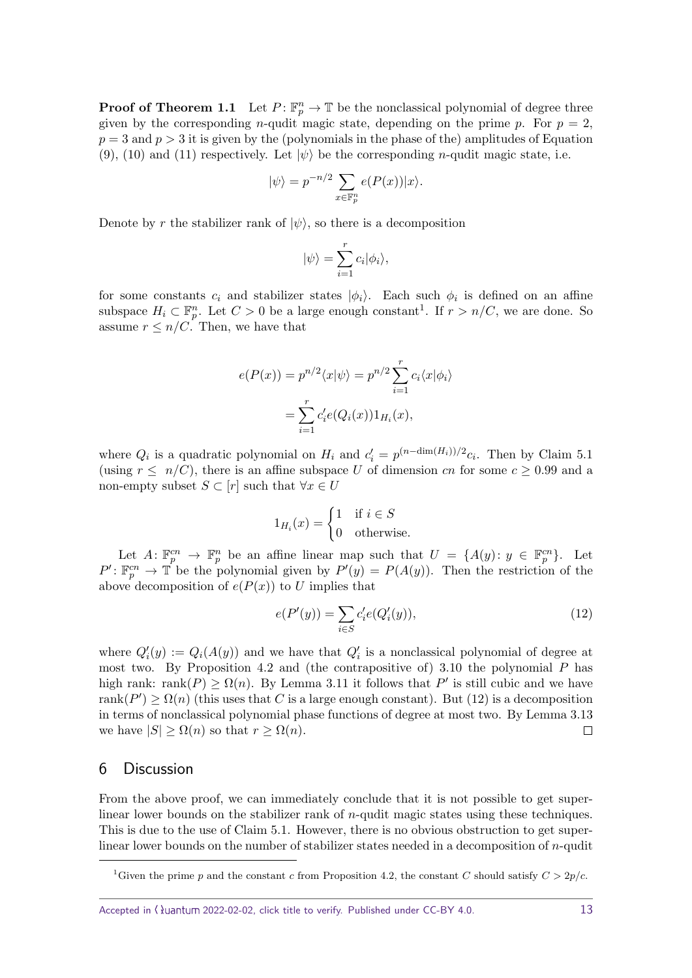**Proof of Theorem [1.1](#page-1-0)** Let  $P: \mathbb{F}_p^n \to \mathbb{T}$  be the nonclassical polynomial of degree three given by the corresponding *n*-qudit magic state, depending on the prime *p*. For  $p = 2$ ,  $p = 3$  and  $p > 3$  it is given by the (polynomials in the phase of the) amplitudes of Equation [\(9\)](#page-8-1), [\(10\)](#page-8-2) and [\(11\)](#page-9-0) respectively. Let  $|\psi\rangle$  be the corresponding *n*-qudit magic state, i.e.

$$
|\psi\rangle = p^{-n/2} \sum_{x \in \mathbb{F}_p^n} e(P(x)) |x\rangle.
$$

Denote by *r* the stabilizer rank of  $|\psi\rangle$ , so there is a decomposition

$$
|\psi\rangle = \sum_{i=1}^{r} c_i |\phi_i\rangle,
$$

for some constants  $c_i$  and stabilizer states  $|\phi_i\rangle$ . Each such  $\phi_i$  is defined on an affine subspace  $H_i \subset \mathbb{F}_p^n$ . Let  $C > 0$  be a large enough constant<sup>[1](#page-12-1)</sup>. If  $r > n/C$ , we are done. So assume  $r \leq n/C$ . Then, we have that

$$
e(P(x)) = p^{n/2} \langle x | \psi \rangle = p^{n/2} \sum_{i=1}^{r} c_i \langle x | \phi_i \rangle
$$

$$
= \sum_{i=1}^{r} c'_i e(Q_i(x)) 1_{H_i}(x),
$$

where  $Q_i$  is a quadratic polynomial on  $H_i$  and  $c'_i = p^{(n-\dim(H_i))/2}c_i$ . Then by Claim [5.1](#page-11-0) (using  $r \leq n/C$ ), there is an affine subspace U of dimension cn for some  $c \geq 0.99$  and a non-empty subset  $S \subset [r]$  such that  $\forall x \in U$ 

$$
1_{H_i}(x) = \begin{cases} 1 & \text{if } i \in S \\ 0 & \text{otherwise.} \end{cases}
$$

Let  $A: \mathbb{F}_p^{cn} \to \mathbb{F}_p^n$  be an affine linear map such that  $U = \{A(y): y \in \mathbb{F}_p^{cn}\}$ . Let  $P' : \mathbb{F}_p^{cn} \to \mathbb{T}$  be the polynomial given by  $P'(y) = P(A(y))$ . Then the restriction of the above decomposition of  $e(P(x))$  to *U* implies that

<span id="page-12-2"></span>
$$
e(P'(y)) = \sum_{i \in S} c'_i e(Q'_i(y)),
$$
\n(12)

where  $Q_i'(y) := Q_i(A(y))$  and we have that  $Q_i'$  is a nonclassical polynomial of degree at most two. By Proposition [4.2](#page-9-2) and (the contrapositive of) [3.10](#page-6-0) the polynomial *P* has high rank: rank( $P$ )  $\geq \Omega(n)$ . By Lemma [3.11](#page-6-1) it follows that  $P'$  is still cubic and we have  $rank(P') \geq \Omega(n)$  (this uses that *C* is a large enough constant). But [\(12\)](#page-12-2) is a decomposition in terms of nonclassical polynomial phase functions of degree at most two. By Lemma [3.13](#page-7-1) we have  $|S| \geq \Omega(n)$  so that  $r \geq \Omega(n)$ .  $\Box$ 

#### <span id="page-12-0"></span>6 Discussion

From the above proof, we can immediately conclude that it is not possible to get superlinear lower bounds on the stabilizer rank of *n*-qudit magic states using these techniques. This is due to the use of Claim [5.1.](#page-11-0) However, there is no obvious obstruction to get superlinear lower bounds on the number of stabilizer states needed in a decomposition of *n*-qudit

Accepted in  $\lambda$ uantum 2022-02-02, click title to verify. Published under CC-BY 4.0. 13

<span id="page-12-1"></span><sup>&</sup>lt;sup>1</sup>Given the prime *p* and the constant *c* from Proposition [4.2,](#page-9-2) the constant *C* should satisfy  $C > 2p/c$ .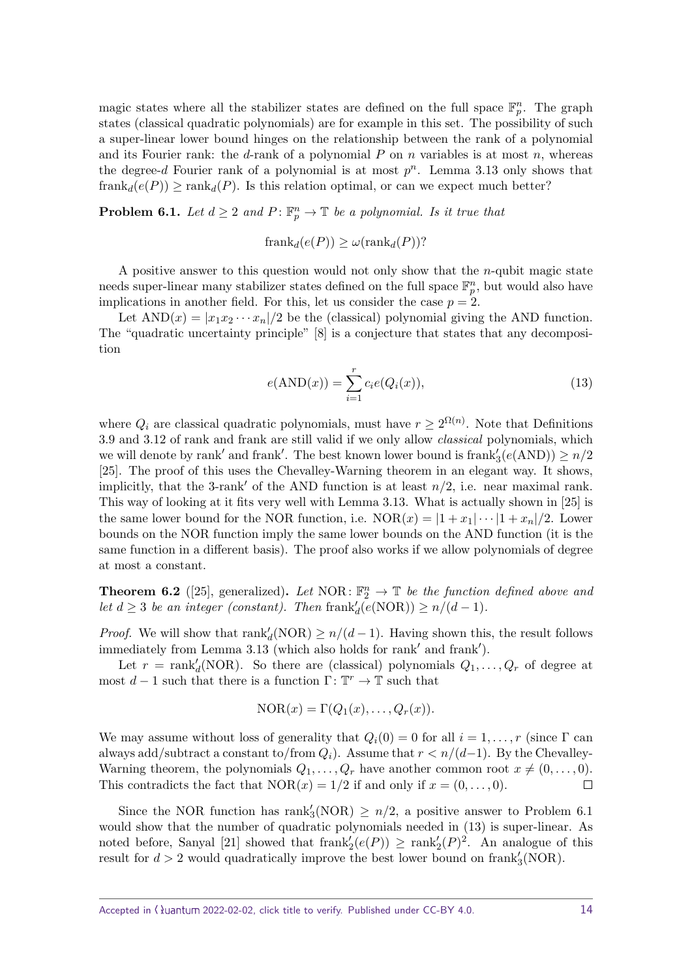magic states where all the stabilizer states are defined on the full space  $\mathbb{F}_p^n$ . The graph states (classical quadratic polynomials) are for example in this set. The possibility of such a super-linear lower bound hinges on the relationship between the rank of a polynomial and its Fourier rank: the  $d$ -rank of a polynomial  $P$  on  $n$  variables is at most  $n$ , whereas the degree- $d$  Fourier rank of a polynomial is at most  $p^n$ . Lemma [3.13](#page-7-1) only shows that  ${\rm frank}_d(e(P)) \ge {\rm rank}_d(P)$ . Is this relation optimal, or can we expect much better?

<span id="page-13-0"></span>**Problem 6.1.** *Let*  $d \geq 2$  *and*  $P: \mathbb{F}_p^n \to \mathbb{T}$  *be a polynomial. Is it true that* 

 ${\rm frank}_d(e(P)) \geq \omega({\rm rank}_d(P))$ ?

A positive answer to this question would not only show that the *n*-qubit magic state needs super-linear many stabilizer states defined on the full space  $\mathbb{F}_p^n$ , but would also have implications in another field. For this, let us consider the case  $p = 2$ .

Let  $AND(x) = |x_1x_2 \cdots x_n|/2$  be the (classical) polynomial giving the AND function. The "quadratic uncertainty principle" [\[8\]](#page-14-16) is a conjecture that states that any decomposition

<span id="page-13-1"></span>
$$
e(\text{AND}(x)) = \sum_{i=1}^{r} c_i e(Q_i(x)),
$$
\n(13)

where  $Q_i$  are classical quadratic polynomials, must have  $r \geq 2^{\Omega(n)}$ . Note that Definitions [3.9](#page-5-0) and [3.12](#page-7-2) of rank and frank are still valid if we only allow classical polynomials, which we will denote by rank' and frank'. The best known lower bound is  $\text{frank}_3'(e(\text{AND})) \geq n/2$ [\[25\]](#page-15-7). The proof of this uses the Chevalley-Warning theorem in an elegant way. It shows, implicitly, that the 3-rank' of the AND function is at least  $n/2$ , i.e. near maximal rank. This way of looking at it fits very well with Lemma [3.13.](#page-7-1) What is actually shown in [\[25\]](#page-15-7) is the same lower bound for the NOR function, i.e.  $NOR(x) = |1 + x_1| \cdots |1 + x_n|/2$ . Lower bounds on the NOR function imply the same lower bounds on the AND function (it is the same function in a different basis). The proof also works if we allow polynomials of degree at most a constant.

**Theorem 6.2** ([\[25\]](#page-15-7), generalized). Let NOR:  $\mathbb{F}_2^n \to \mathbb{T}$  be the function defined above and *let*  $d \geq 3$  *be an integer (constant). Then* frank $d(e(NOR)) \geq n/(d-1)$ *.* 

*Proof.* We will show that  $\text{rank}'_d(\text{NOR}) \geq n/(d-1)$ . Having shown this, the result follows immediately from Lemma  $3.13$  (which also holds for rank' and frank').

Let  $r = \text{rank}'_d(\text{NOR})$ . So there are (classical) polynomials  $Q_1, \ldots, Q_r$  of degree at most  $d-1$  such that there is a function  $\Gamma: \mathbb{T}^r \to \mathbb{T}$  such that

$$
NOR(x) = \Gamma(Q_1(x), \ldots, Q_r(x)).
$$

We may assume without loss of generality that  $Q_i(0) = 0$  for all  $i = 1, \ldots, r$  (since  $\Gamma$  can always add/subtract a constant to/from  $Q_i$ ). Assume that  $r < n/(d-1)$ . By the Chevalley-Warning theorem, the polynomials  $Q_1, \ldots, Q_r$  have another common root  $x \neq (0, \ldots, 0)$ . This contradicts the fact that  $NOR(x) = 1/2$  if and only if  $x = (0, \ldots, 0)$ .  $\Box$ 

Since the NOR function has rank<sup> $\text{S(NOR)} \geq n/2$ , a positive answer to Problem [6.1](#page-13-0)</sup> would show that the number of quadratic polynomials needed in [\(13\)](#page-13-1) is super-linear. As noted before, Sanyal [\[21\]](#page-15-6) showed that  $\text{frank}'_2(e(P)) \ge \text{rank}'_2(P)^2$ . An analogue of this result for  $d > 2$  would quadratically improve the best lower bound on frank<sup> $\prime$ </sup><sub>3</sub>(NOR).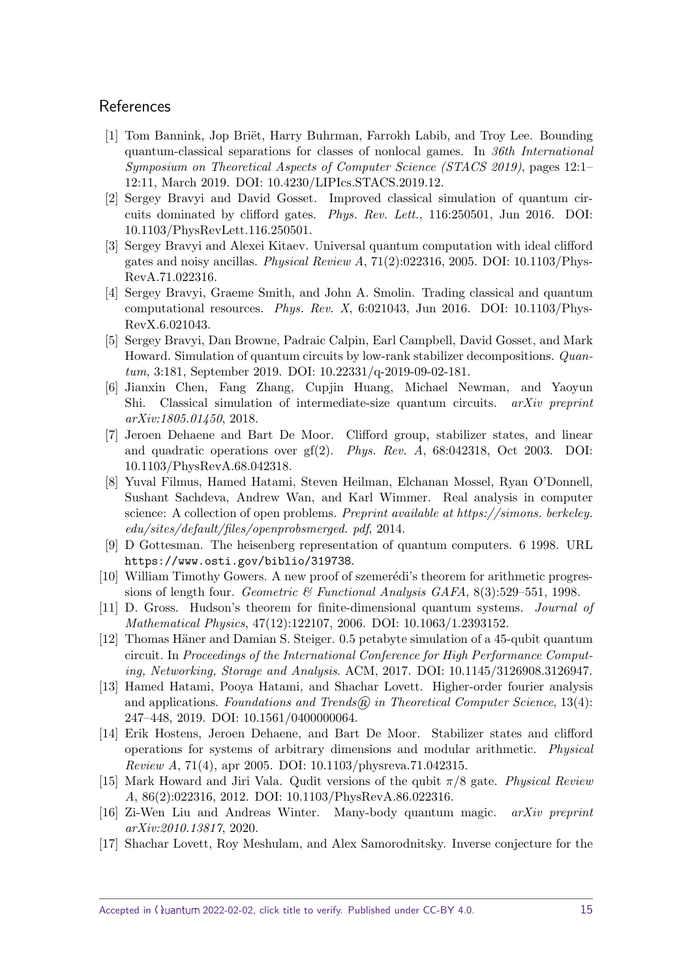## **References**

- <span id="page-14-13"></span>[1] Tom Bannink, Jop Briët, Harry Buhrman, Farrokh Labib, and Troy Lee. Bounding quantum-classical separations for classes of nonlocal games. In 36th International Symposium on Theoretical Aspects of Computer Science (STACS 2019), pages 12:1– 12:11, March 2019. [DOI: 10.4230/LIPIcs.STACS.2019.12.](https://doi.org/10.4230/LIPIcs.STACS.2019.12)
- <span id="page-14-10"></span>[2] Sergey Bravyi and David Gosset. Improved classical simulation of quantum circuits dominated by clifford gates. Phys. Rev. Lett., 116:250501, Jun 2016. [DOI:](https://doi.org/10.1103/PhysRevLett.116.250501) [10.1103/PhysRevLett.116.250501.](https://doi.org/10.1103/PhysRevLett.116.250501)
- <span id="page-14-2"></span>[3] Sergey Bravyi and Alexei Kitaev. Universal quantum computation with ideal clifford gates and noisy ancillas. Physical Review A,  $71(2):022316$ , 2005. [DOI: 10.1103/Phys-](https://doi.org/10.1103/PhysRevA.71.022316)[RevA.71.022316.](https://doi.org/10.1103/PhysRevA.71.022316)
- <span id="page-14-6"></span>[4] Sergey Bravyi, Graeme Smith, and John A. Smolin. Trading classical and quantum computational resources. Phys. Rev.  $X$ , 6:021043, Jun 2016. [DOI: 10.1103/Phys-](https://doi.org/10.1103/PhysRevX.6.021043)[RevX.6.021043.](https://doi.org/10.1103/PhysRevX.6.021043)
- <span id="page-14-11"></span>[5] Sergey Bravyi, Dan Browne, Padraic Calpin, Earl Campbell, David Gosset, and Mark Howard. Simulation of quantum circuits by low-rank stabilizer decompositions. Quantum, 3:181, September 2019. [DOI: 10.22331/q-2019-09-02-181.](https://doi.org/10.22331/q-2019-09-02-181)
- <span id="page-14-3"></span>[6] Jianxin Chen, Fang Zhang, Cupjin Huang, Michael Newman, and Yaoyun Shi. Classical simulation of intermediate-size quantum circuits. *arXiv preprint* arXiv:1805.01450, 2018.
- <span id="page-14-7"></span>[7] Jeroen Dehaene and Bart De Moor. Clifford group, stabilizer states, and linear and quadratic operations over gf(2). Phys. Rev. A, 68:042318, Oct 2003. [DOI:](https://doi.org/10.1103/PhysRevA.68.042318) [10.1103/PhysRevA.68.042318.](https://doi.org/10.1103/PhysRevA.68.042318)
- <span id="page-14-16"></span>[8] Yuval Filmus, Hamed Hatami, Steven Heilman, Elchanan Mossel, Ryan O'Donnell, Sushant Sachdeva, Andrew Wan, and Karl Wimmer. Real analysis in computer science: A collection of open problems. Preprint available at https://simons. berkeley. edu/sites/default/files/openprobsmerged. pdf, 2014.
- <span id="page-14-1"></span>[9] D Gottesman. The heisenberg representation of quantum computers. 6 1998. URL <https://www.osti.gov/biblio/319738>.
- <span id="page-14-0"></span>[10] William Timothy Gowers. A new proof of szemerédi's theorem for arithmetic progressions of length four. Geometric & Functional Analysis GAFA,  $8(3)$ :529–551, 1998.
- <span id="page-14-8"></span>[11] D. Gross. Hudson's theorem for finite-dimensional quantum systems. Journal of Mathematical Physics, 47(12):122107, 2006. [DOI: 10.1063/1.2393152.](https://doi.org/10.1063/1.2393152)
- <span id="page-14-4"></span>[12] Thomas Häner and Damian S. Steiger. 0.5 petabyte simulation of a 45-qubit quantum circuit. In Proceedings of the International Conference for High Performance Computing, Networking, Storage and Analysis. ACM, 2017. [DOI: 10.1145/3126908.3126947.](https://doi.org/10.1145/3126908.3126947)
- <span id="page-14-14"></span>[13] Hamed Hatami, Pooya Hatami, and Shachar Lovett. Higher-order fourier analysis and applications. Foundations and Trends $\widehat{R}$  in Theoretical Computer Science, 13(4): 247–448, 2019. [DOI: 10.1561/0400000064.](https://doi.org/10.1561/0400000064)
- <span id="page-14-9"></span>[14] Erik Hostens, Jeroen Dehaene, and Bart De Moor. Stabilizer states and clifford operations for systems of arbitrary dimensions and modular arithmetic. Physical Review A, 71(4), apr 2005. [DOI: 10.1103/physreva.71.042315.](https://doi.org/10.1103/physreva.71.042315)
- <span id="page-14-12"></span>[15] Mark Howard and Jiri Vala. Qudit versions of the qubit  $\pi/8$  gate. Physical Review A, 86(2):022316, 2012. [DOI: 10.1103/PhysRevA.86.022316.](https://doi.org/10.1103/PhysRevA.86.022316)
- <span id="page-14-5"></span>[16] Zi-Wen Liu and Andreas Winter. Many-body quantum magic. arXiv preprint arXiv:2010.13817, 2020.
- <span id="page-14-15"></span>[17] Shachar Lovett, Roy Meshulam, and Alex Samorodnitsky. Inverse conjecture for the